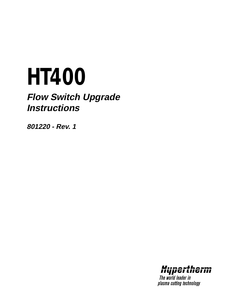# *HT400*

# **Flow Switch Upgrade Instructions**

**801220 - Rev. 1**



The world leader in plasma cutting technology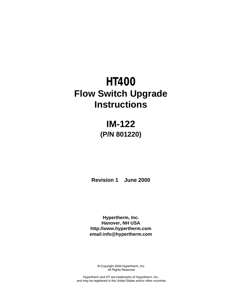# *HT400* **Flow Switch Upgrade Instructions**

# **IM-122 (P/N 801220)**

**Revision 1 June 2000**

**Hypertherm, Inc. Hanover, NH USA http://www.hypertherm.com email:info@hypertherm.com**

> © Copyright 2000 Hypertherm, Inc. All Rights Reserved

Hypertherm and HT are trademarks of Hypertherm, Inc., and may be registered in the United States and/or other countries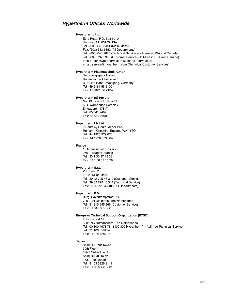### **Hypertherm Offices Worldwide:**

#### **Hypertherm, Inc.**

Etna Road, P.O. Box 5010 Hanover, NH 03755 USA Tel.: (603) 643-3441 (Main Office) Fax: (603) 643-5352 (All Departments) Tel.: (800) 643-9878 (Technical Service – toll-free in USA and Canada) Tel.: (800) 737-2978 (Customer Service – toll-free in USA and Canada) email: info@hypertherm.com (General Information) email: service@hypertherm.com (Technical/Customer Services)

#### **Hypertherm Plasmatechnik GmbH**

Technologiepark Hanau Rodenbacher Chaussee 6 D–63457 Hanau-Wolfgang, Germany Tel.: 49 6181 58 2100 Fax: 49 6181 58 2134

#### **Hypertherm (S) Pte Ltd**

No. 19 Kaki Bukit Road 2 K.B. Warehouse Complex Singapore 417847 Tel.: 65 841 2489 Fax: 65 841 2490

#### **Hypertherm UK Ltd**

9 Berkeley Court, Manor Park Runcorn, Cheshire, England WA7 1TQ Tel.: 44 1928 579 074 Fax: 44 1928 579 604

#### **France**

15 Impasse des Rosiers 95610 Eragny, France Tel.: 33 1 30 37 15 28 Fax: 33 1 30 37 15 79

#### **Hypertherm S.r.L.**

Via Torino 2 20123 Milan, Italy Tel.: 39 02 725 46 312 (Customer Service) Tel.: 39 02 725 46 314 (Technical Service) Fax: 39 02 725 46 400 (All Departments)

#### **Hypertherm B.V.**

Burg, Haverkampstraat 13 7091 CN Dinxperlo, The Netherlands Tel.: 31 315 655 866 (Customer Service) Fax: 31 315 655 886

#### **European Technical Support Organization (ETSO)**

Edisonstraat 12 3281 NC Numansdorp, The Netherlands

Tel.: 00 800 4973 7843 (00 800 Hypertherm) – (toll-free Technical Service) Tel.: 31 186 659494

Fax: 31 186 659495

#### **Japan**

Shinjuku Park Tower 30th Floor 3-7-1 Nishi-Shinjuku Shinjuku-ku, Tokyo 163-1030, Japan Tel.: 81 03 5326 3142 Fax: 81 03 5326 3001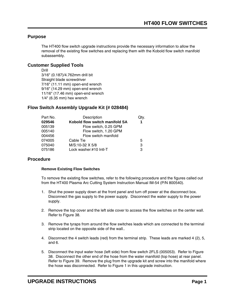# **Purpose**

The HT400 flow switch upgrade instructions provide the necessary information to allow the removal of the existing flow switches and replacing them with the Kobold flow switch manifold subassembly.

# **Customer Supplied Tools**

Drill 3/16" (0.187)/4.762mm drill bit Straight blade screwdriver 7/16" (11.11 mm) open-end wrench 9/16" (14.29 mm) open-end wrench 11/16" (17.46 mm) open-end wrench 1/4" (6.35 mm) hex wrench

# **Flow Switch Assembly Upgrade Kit (# 028484)**

| Part No. | Description                    | Qtv. |
|----------|--------------------------------|------|
| 029546   | Kobold flow switch manifold SA | 1.   |
| 005139   | Flow switch, 0.25 GPM          |      |
| 005140   | Flow switch, 1.20 GPM          |      |
| 004456   | Flow switch manifold           |      |
| 074005   | Cable Tie                      | 5    |
| 075040   | M/S:10-32 X 5/8                | 3    |
| 075186   | Lock washer:#10 Intl-T         | 3    |

## **Procedure**

## **Remove Existing Flow Switches**

To remove the existing flow switches, refer to the following procedure and the figures called out from the HT400 Plasma Arc Cutting System Instruction Manual IM-54 (P/N 800540).

- 1. Shut the power supply down at the front panel and turn off power at the disconnect box. Disconnect the gas supply to the power supply. Disconnect the water supply to the power supply.
- 2. Remove the top cover and the left side cover to access the flow switches on the center wall. Refer to Figure 38.
- 3. Remove the tyraps from around the flow switches leads which are connected to the terminal strip located on the opposite side of the wall..
- 4. Disconnect the 4 switch leads (red) from the terminal strip. These leads are marked 4 (2), 5, and 6.
- 5. Disconnect the input water hose (left side) from flow switch 2FLS (005053). Refer to Figure 38. Disconnect the other end of the hose from the water manifold (top hose) at rear panel. Refer to Figure 39. Remove the plug from the upgrade kit and screw into the manifold where the hose was disconnected. Refer to Figure 1 in this upgrade instruction.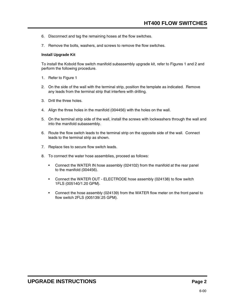- 6. Disconnect and tag the remaining hoses at the flow switches.
- 7. Remove the bolts, washers, and screws to remove the flow switches.

## **Install Upgrade Kit**

To install the Kobold flow switch manifold subassembly upgrade kit, refer to Figures 1 and 2 and perform the following procedure.

- 1. Refer to Figure 1
- 2. On the side of the wall with the terminal strip, position the template as indicated. Remove any leads from the terminal strip that interfere with drilling.
- 3. Drill the three holes.
- 4. Align the three holes in the manifold (004456) with the holes on the wall.
- 5. On the terminal strip side of the wall, install the screws with lockwashers through the wall and into the manifold subassembly.
- 6. Route the flow switch leads to the terminal strip on the opposite side of the wall. Connect leads to the terminal strip as shown.
- 7. Replace ties to secure flow switch leads.
- 8. To connect the water hose assemblies, proceed as follows:
	- Connect the WATER IN hose assembly (024102) from the manifold at the rear panel to the manifold (004456).
	- Connect the WATER OUT ELECTRODE hose assembly (024138) to flow switch 1FLS (005140/1.20 GPM).
	- Connect the hose assembly (024139) from the WATER flow meter on the front panel to flow switch 2FLS (005139/.25 GPM).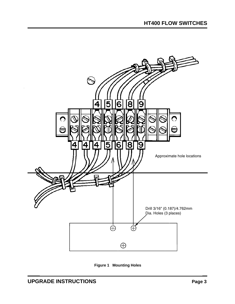

**Figure 1 Mounting Holes**